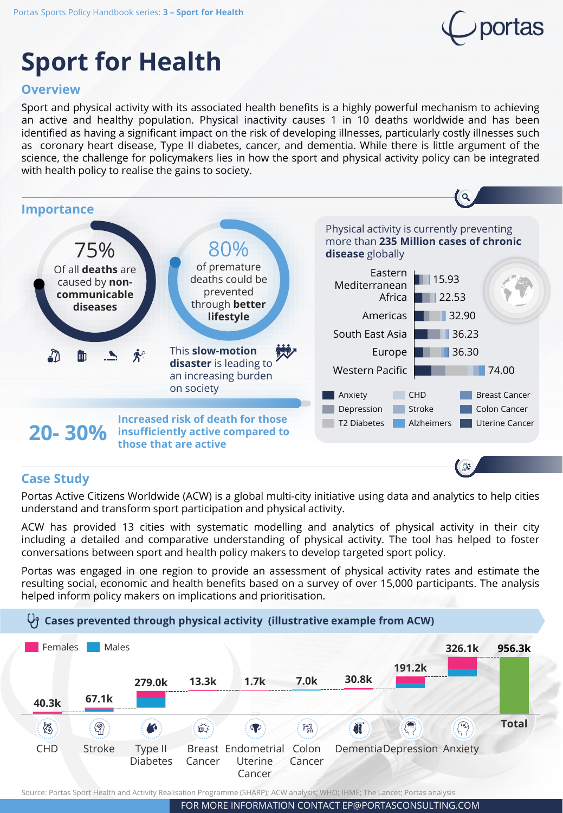

# **Sport for Health**

### **Overview**

Sport and physical activity with its associated health benefits is a highly powerful mechanism to achieving an active and healthy population. Physical inactivity causes 1 in 10 deaths worldwide and has been identified as having a significant impact on the risk of developing illnesses, particularly costly illnesses such as coronary heart disease, Type II diabetes, cancer, and dementia. While there is little argument of the science, the challenge for policymakers lies in how the sport and physical activity policy can be integrated with health policy to realise the gains to society.



#### **Case Study**

Portas Active Citizens Worldwide (ACW) is a global multi-city initiative using data and analytics to help cities understand and transform sport participation and physical activity.

ACW has provided 13 cities with systematic modelling and analytics of physical activity in their city including a detailed and comparative understanding of physical activity. The tool has helped to foster conversations between sport and health policy makers to develop targeted sport policy.

Portas was engaged in one region to provide an assessment of physical activity rates and estimate the resulting social, economic and health benefits based on a survey of over 15,000 participants. The analysis helped inform policy makers on implications and prioritisation.





Source: Portas Sport Health and Activity Realisation Programme (SHARP); ACW analysis; WHO; IHME; The Lancet; Portas analysis

FOR MORE INFORMATION CONTACT EP@PORTASCONSULTING.COM